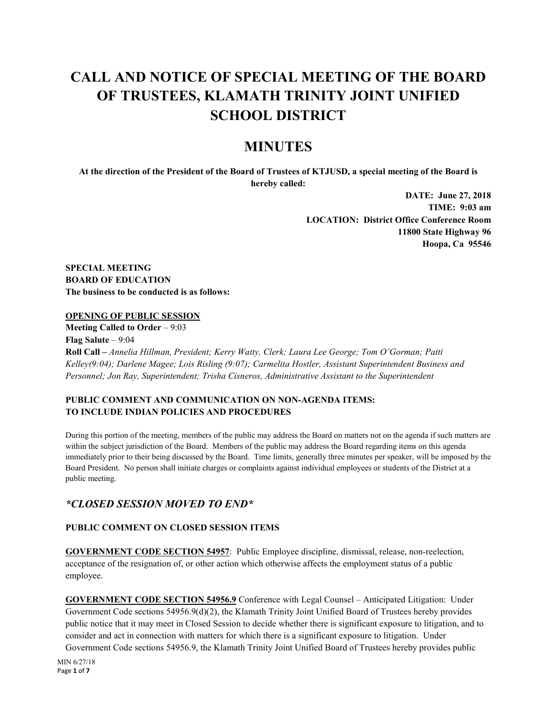# **CALL AND NOTICE OF SPECIAL MEETING OF THE BOARD OF TRUSTEES, KLAMATH TRINITY JOINT UNIFIED SCHOOL DISTRICT**

# **MINUTES**

**At the direction of the President of the Board of Trustees of KTJUSD, a special meeting of the Board is hereby called:**

> **DATE: June 27, 2018 TIME: 9:03 am LOCATION: District Office Conference Room 11800 State Highway 96 Hoopa, Ca 95546**

**SPECIAL MEETING BOARD OF EDUCATION The business to be conducted is as follows:**

#### **OPENING OF PUBLIC SESSION**

**Meeting Called to Order** – 9:03 **Flag Salute** – 9:04 **Roll Call –** *Annelia Hillman, President; Kerry Watty, Clerk; Laura Lee George; Tom O'Gorman; Patti Kelley(9:04); Darlene Magee; Lois Risling (9:07); Carmelita Hostler, Assistant Superintendent Business and Personnel; Jon Ray, Superintendent; Trisha Cisneros, Administrative Assistant to the Superintendent*

# **PUBLIC COMMENT AND COMMUNICATION ON NON-AGENDA ITEMS: TO INCLUDE INDIAN POLICIES AND PROCEDURES**

During this portion of the meeting, members of the public may address the Board on matters not on the agenda if such matters are within the subject jurisdiction of the Board. Members of the public may address the Board regarding items on this agenda immediately prior to their being discussed by the Board. Time limits, generally three minutes per speaker, will be imposed by the Board President. No person shall initiate charges or complaints against individual employees or students of the District at a public meeting.

# *\*CLOSED SESSION MOVED TO END\**

## **PUBLIC COMMENT ON CLOSED SESSION ITEMS**

**GOVERNMENT CODE SECTION 54957**: Public Employee discipline, dismissal, release, non-reelection, acceptance of the resignation of, or other action which otherwise affects the employment status of a public employee.

**GOVERNMENT CODE SECTION 54956.9** Conference with Legal Counsel – Anticipated Litigation: Under Government Code sections 54956.9(d)(2), the Klamath Trinity Joint Unified Board of Trustees hereby provides public notice that it may meet in Closed Session to decide whether there is significant exposure to litigation, and to consider and act in connection with matters for which there is a significant exposure to litigation. Under Government Code sections 54956.9, the Klamath Trinity Joint Unified Board of Trustees hereby provides public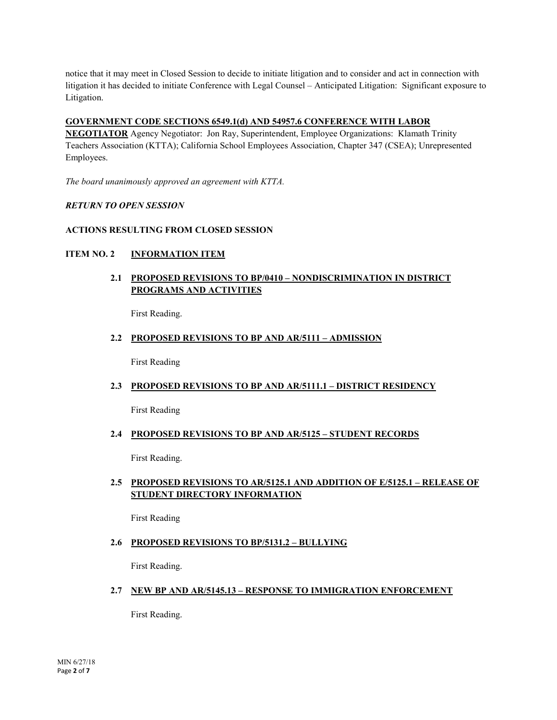notice that it may meet in Closed Session to decide to initiate litigation and to consider and act in connection with litigation it has decided to initiate Conference with Legal Counsel – Anticipated Litigation: Significant exposure to Litigation.

#### **GOVERNMENT CODE SECTIONS 6549.1(d) AND 54957.6 CONFERENCE WITH LABOR**

**NEGOTIATOR** Agency Negotiator: Jon Ray, Superintendent, Employee Organizations: Klamath Trinity Teachers Association (KTTA); California School Employees Association, Chapter 347 (CSEA); Unrepresented Employees.

*The board unanimously approved an agreement with KTTA.*

#### *RETURN TO OPEN SESSION*

#### **ACTIONS RESULTING FROM CLOSED SESSION**

#### **ITEM NO. 2 INFORMATION ITEM**

## **2.1 PROPOSED REVISIONS TO BP/0410 – NONDISCRIMINATION IN DISTRICT PROGRAMS AND ACTIVITIES**

First Reading.

#### **2.2 PROPOSED REVISIONS TO BP AND AR/5111 – ADMISSION**

First Reading

#### **2.3 PROPOSED REVISIONS TO BP AND AR/5111.1 – DISTRICT RESIDENCY**

First Reading

#### **2.4 PROPOSED REVISIONS TO BP AND AR/5125 – STUDENT RECORDS**

First Reading.

## **2.5 PROPOSED REVISIONS TO AR/5125.1 AND ADDITION OF E/5125.1 – RELEASE OF STUDENT DIRECTORY INFORMATION**

First Reading

#### **2.6 PROPOSED REVISIONS TO BP/5131.2 – BULLYING**

First Reading.

#### **2.7 NEW BP AND AR/5145.13 – RESPONSE TO IMMIGRATION ENFORCEMENT**

First Reading.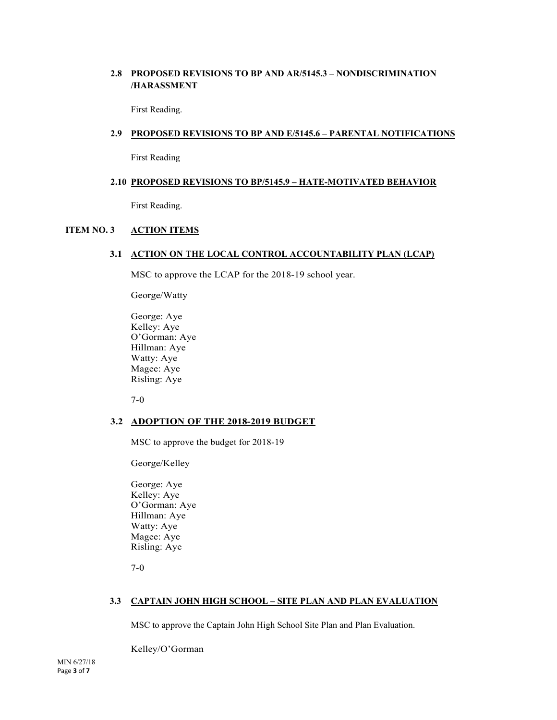# **2.8 PROPOSED REVISIONS TO BP AND AR/5145.3 – NONDISCRIMINATION /HARASSMENT**

First Reading.

#### **2.9 PROPOSED REVISIONS TO BP AND E/5145.6 – PARENTAL NOTIFICATIONS**

First Reading

#### **2.10 PROPOSED REVISIONS TO BP/5145.9 – HATE-MOTIVATED BEHAVIOR**

First Reading.

#### **ITEM NO. 3 ACTION ITEMS**

#### **3.1 ACTION ON THE LOCAL CONTROL ACCOUNTABILITY PLAN (LCAP)**

MSC to approve the LCAP for the 2018-19 school year.

George/Watty

George: Aye Kelley: Aye O'Gorman: Aye Hillman: Aye Watty: Aye Magee: Aye Risling: Aye

7-0

#### **3.2 ADOPTION OF THE 2018-2019 BUDGET**

MSC to approve the budget for 2018-19

George/Kelley

George: Aye Kelley: Aye O'Gorman: Aye Hillman: Aye Watty: Aye Magee: Aye Risling: Aye

7-0

#### **3.3 CAPTAIN JOHN HIGH SCHOOL – SITE PLAN AND PLAN EVALUATION**

MSC to approve the Captain John High School Site Plan and Plan Evaluation.

Kelley/O'Gorman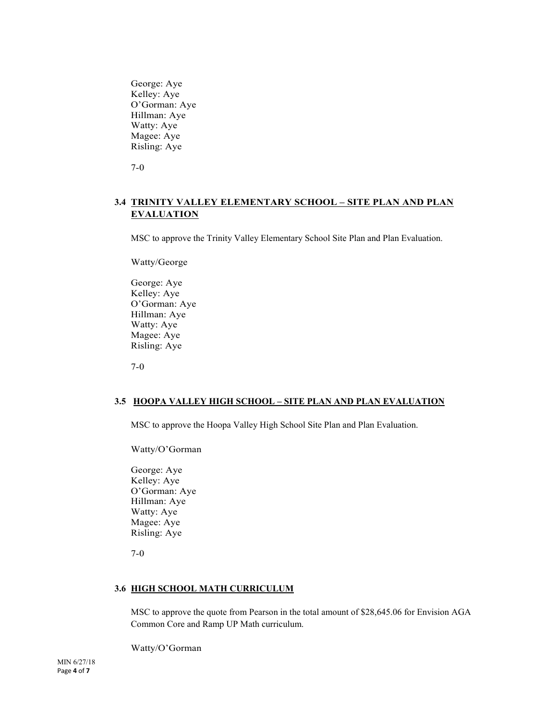George: Aye Kelley: Aye O'Gorman: Aye Hillman: Aye Watty: Aye Magee: Aye Risling: Aye

7-0

# **3.4 TRINITY VALLEY ELEMENTARY SCHOOL – SITE PLAN AND PLAN EVALUATION**

MSC to approve the Trinity Valley Elementary School Site Plan and Plan Evaluation.

Watty/George

George: Aye Kelley: Aye O'Gorman: Aye Hillman: Aye Watty: Aye Magee: Aye Risling: Aye

7-0

#### **3.5 HOOPA VALLEY HIGH SCHOOL – SITE PLAN AND PLAN EVALUATION**

MSC to approve the Hoopa Valley High School Site Plan and Plan Evaluation.

Watty/O'Gorman

George: Aye Kelley: Aye O'Gorman: Aye Hillman: Aye Watty: Aye Magee: Aye Risling: Aye

7-0

#### **3.6 HIGH SCHOOL MATH CURRICULUM**

MSC to approve the quote from Pearson in the total amount of \$28,645.06 for Envision AGA Common Core and Ramp UP Math curriculum.

Watty/O'Gorman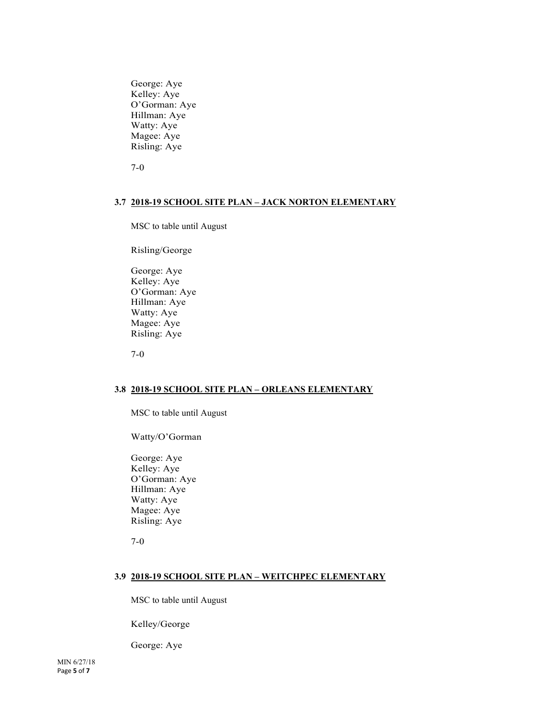George: Aye Kelley: Aye O'Gorman: Aye Hillman: Aye Watty: Aye Magee: Aye Risling: Aye

7-0

#### **3.7 2018-19 SCHOOL SITE PLAN – JACK NORTON ELEMENTARY**

MSC to table until August

Risling/George

George: Aye Kelley: Aye O'Gorman: Aye Hillman: Aye Watty: Aye Magee: Aye Risling: Aye

7-0

#### **3.8 2018-19 SCHOOL SITE PLAN – ORLEANS ELEMENTARY**

MSC to table until August

Watty/O'Gorman

George: Aye Kelley: Aye O'Gorman: Aye Hillman: Aye Watty: Aye Magee: Aye Risling: Aye

7-0

#### **3.9 2018-19 SCHOOL SITE PLAN – WEITCHPEC ELEMENTARY**

MSC to table until August

Kelley/George

George: Aye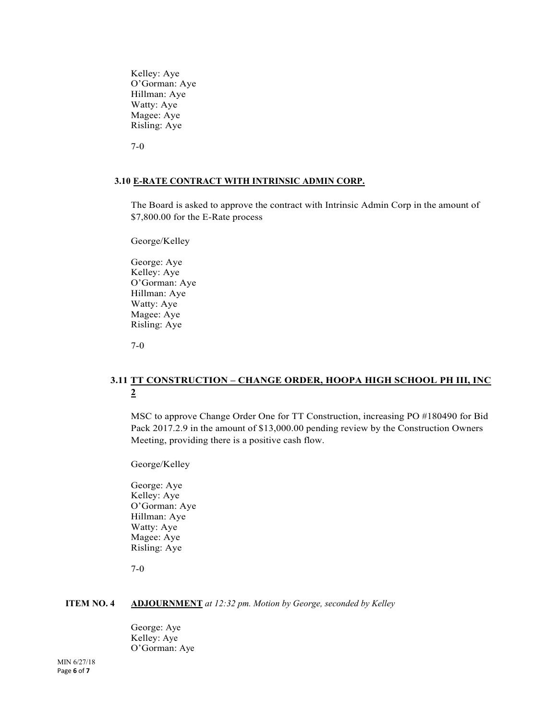Kelley: Aye O'Gorman: Aye Hillman: Aye Watty: Aye Magee: Aye Risling: Aye

7-0

#### **3.10 E-RATE CONTRACT WITH INTRINSIC ADMIN CORP.**

The Board is asked to approve the contract with Intrinsic Admin Corp in the amount of \$7,800.00 for the E-Rate process

George/Kelley

George: Aye Kelley: Aye O'Gorman: Aye Hillman: Aye Watty: Aye Magee: Aye Risling: Aye

7-0

# **3.11 TT CONSTRUCTION – CHANGE ORDER, HOOPA HIGH SCHOOL PH III, INC 2**

MSC to approve Change Order One for TT Construction, increasing PO #180490 for Bid Pack 2017.2.9 in the amount of \$13,000.00 pending review by the Construction Owners Meeting, providing there is a positive cash flow.

George/Kelley

George: Aye Kelley: Aye O'Gorman: Aye Hillman: Aye Watty: Aye Magee: Aye Risling: Aye

7-0

#### **ITEM NO. 4 ADJOURNMENT** *at 12:32 pm. Motion by George, seconded by Kelley*

George: Aye Kelley: Aye O'Gorman: Aye

MIN 6/27/18 Page **6** of **7**